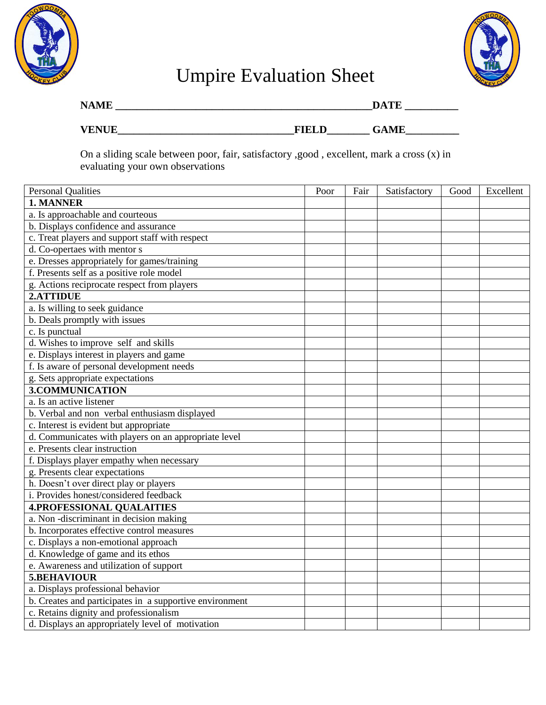



## Umpire Evaluation Sheet

| <b>NAME</b>  |              | DATF        |  |  |  |
|--------------|--------------|-------------|--|--|--|
| <b>VENUE</b> | <b>FIELD</b> | <b>GAME</b> |  |  |  |

On a sliding scale between poor, fair, satisfactory ,good , excellent, mark a cross (x) in evaluating your own observations

| <b>Personal Qualities</b>                               | Poor | Fair | Satisfactory | Good | Excellent |
|---------------------------------------------------------|------|------|--------------|------|-----------|
| 1. MANNER                                               |      |      |              |      |           |
| a. Is approachable and courteous                        |      |      |              |      |           |
| b. Displays confidence and assurance                    |      |      |              |      |           |
| c. Treat players and support staff with respect         |      |      |              |      |           |
| d. Co-opertaes with mentor s                            |      |      |              |      |           |
| e. Dresses appropriately for games/training             |      |      |              |      |           |
| f. Presents self as a positive role model               |      |      |              |      |           |
| g. Actions reciprocate respect from players             |      |      |              |      |           |
| 2.ATTIDUE                                               |      |      |              |      |           |
| a. Is willing to seek guidance                          |      |      |              |      |           |
| b. Deals promptly with issues                           |      |      |              |      |           |
| c. Is punctual                                          |      |      |              |      |           |
| d. Wishes to improve self and skills                    |      |      |              |      |           |
| e. Displays interest in players and game                |      |      |              |      |           |
| f. Is aware of personal development needs               |      |      |              |      |           |
| g. Sets appropriate expectations                        |      |      |              |      |           |
| 3.COMMUNICATION                                         |      |      |              |      |           |
| $\overline{a}$ . Is an active listener                  |      |      |              |      |           |
| b. Verbal and non verbal enthusiasm displayed           |      |      |              |      |           |
| c. Interest is evident but appropriate                  |      |      |              |      |           |
| d. Communicates with players on an appropriate level    |      |      |              |      |           |
| e. Presents clear instruction                           |      |      |              |      |           |
| f. Displays player empathy when necessary               |      |      |              |      |           |
| g. Presents clear expectations                          |      |      |              |      |           |
| h. Doesn't over direct play or players                  |      |      |              |      |           |
| i. Provides honest/considered feedback                  |      |      |              |      |           |
| <b>4.PROFESSIONAL QUALAITIES</b>                        |      |      |              |      |           |
| a. Non-discriminant in decision making                  |      |      |              |      |           |
| b. Incorporates effective control measures              |      |      |              |      |           |
| c. Displays a non-emotional approach                    |      |      |              |      |           |
| d. Knowledge of game and its ethos                      |      |      |              |      |           |
| e. Awareness and utilization of support                 |      |      |              |      |           |
| 5.BEHAVIOUR                                             |      |      |              |      |           |
| a. Displays professional behavior                       |      |      |              |      |           |
| b. Creates and participates in a supportive environment |      |      |              |      |           |
| c. Retains dignity and professionalism                  |      |      |              |      |           |
| d. Displays an appropriately level of motivation        |      |      |              |      |           |